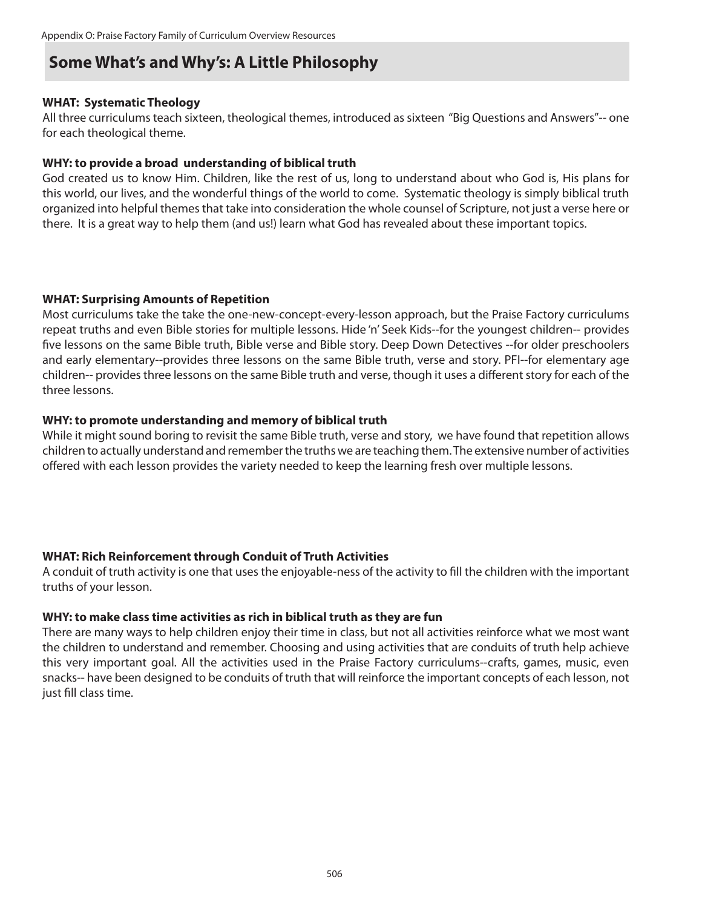# **Some What's and Why's: A Little Philosophy**

### **WHAT: Systematic Theology**

All three curriculums teach sixteen, theological themes, introduced as sixteen "Big Questions and Answers"-- one for each theological theme.

## **WHY: to provide a broad understanding of biblical truth**

God created us to know Him. Children, like the rest of us, long to understand about who God is, His plans for this world, our lives, and the wonderful things of the world to come. Systematic theology is simply biblical truth organized into helpful themes that take into consideration the whole counsel of Scripture, not just a verse here or there. It is a great way to help them (and us!) learn what God has revealed about these important topics.

### **WHAT: Surprising Amounts of Repetition**

Most curriculums take the take the one-new-concept-every-lesson approach, but the Praise Factory curriculums repeat truths and even Bible stories for multiple lessons. Hide 'n' Seek Kids--for the youngest children-- provides five lessons on the same Bible truth, Bible verse and Bible story. Deep Down Detectives --for older preschoolers and early elementary--provides three lessons on the same Bible truth, verse and story. PFI--for elementary age children-- provides three lessons on the same Bible truth and verse, though it uses a different story for each of the three lessons.

### **WHY: to promote understanding and memory of biblical truth**

While it might sound boring to revisit the same Bible truth, verse and story, we have found that repetition allows children to actually understand and remember the truths we are teaching them. The extensive number of activities offered with each lesson provides the variety needed to keep the learning fresh over multiple lessons.

# **WHAT: Rich Reinforcement through Conduit of Truth Activities**

A conduit of truth activity is one that uses the enjoyable-ness of the activity to fill the children with the important truths of your lesson.

### **WHY: to make class time activities as rich in biblical truth as they are fun**

There are many ways to help children enjoy their time in class, but not all activities reinforce what we most want the children to understand and remember. Choosing and using activities that are conduits of truth help achieve this very important goal. All the activities used in the Praise Factory curriculums--crafts, games, music, even snacks-- have been designed to be conduits of truth that will reinforce the important concepts of each lesson, not just fill class time.